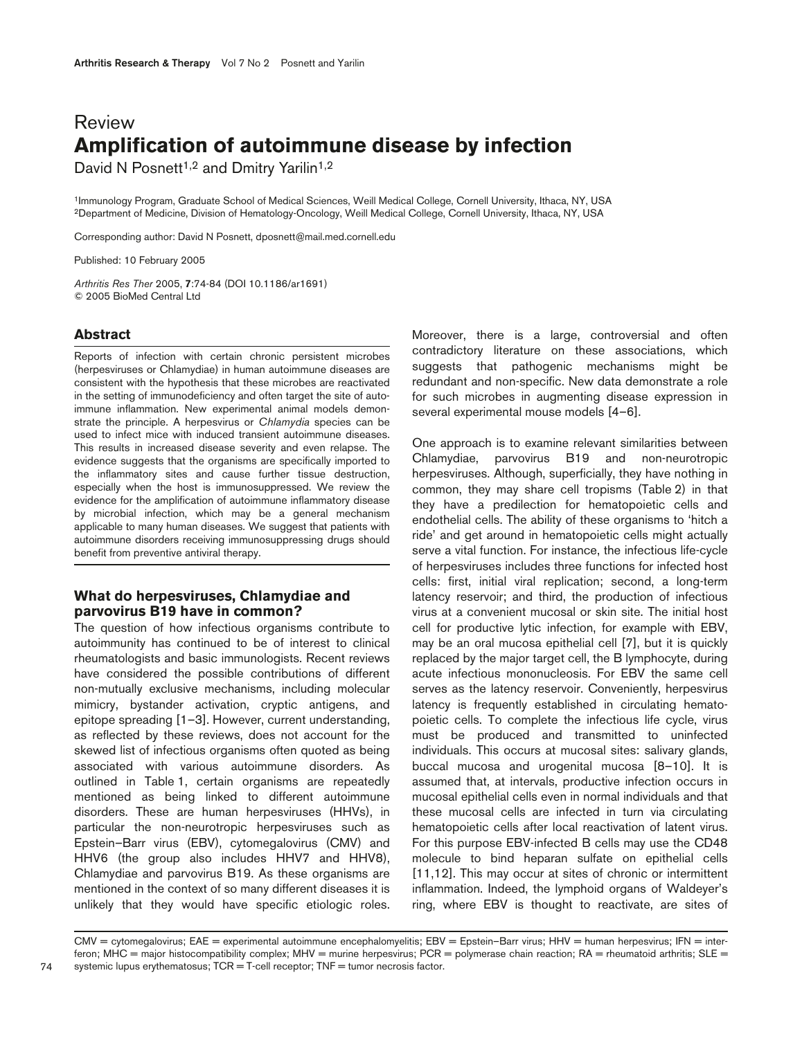# Review **Amplification of autoimmune disease by infection**

David N Posnett<sup>1,2</sup> and Dmitry Yarilin<sup>1,2</sup>

1Immunology Program, Graduate School of Medical Sciences, Weill Medical College, Cornell University, Ithaca, NY, USA 2Department of Medicine, Division of Hematology-Oncology, Weill Medical College, Cornell University, Ithaca, NY, USA

Corresponding author: David N Posnett, dposnett@mail.med.cornell.edu

Published: 10 February 2005

*Arthritis Res Ther* 2005, **7**:74-84 (DOI 10.1186/ar1691) © 2005 BioMed Central Ltd

# **Abstract**

Reports of infection with certain chronic persistent microbes (herpesviruses or Chlamydiae) in human autoimmune diseases are consistent with the hypothesis that these microbes are reactivated in the setting of immunodeficiency and often target the site of autoimmune inflammation. New experimental animal models demonstrate the principle. A herpesvirus or *Chlamydia* species can be used to infect mice with induced transient autoimmune diseases. This results in increased disease severity and even relapse. The evidence suggests that the organisms are specifically imported to the inflammatory sites and cause further tissue destruction, especially when the host is immunosuppressed. We review the evidence for the amplification of autoimmune inflammatory disease by microbial infection, which may be a general mechanism applicable to many human diseases. We suggest that patients with autoimmune disorders receiving immunosuppressing drugs should benefit from preventive antiviral therapy.

# **What do herpesviruses, Chlamydiae and parvovirus B19 have in common?**

The question of how infectious organisms contribute to autoimmunity has continued to be of interest to clinical rheumatologists and basic immunologists. Recent reviews have considered the possible contributions of different non-mutually exclusive mechanisms, including molecular mimicry, bystander activation, cryptic antigens, and epitope spreading [1–3]. However, current understanding, as reflected by these reviews, does not account for the skewed list of infectious organisms often quoted as being associated with various autoimmune disorders. As outlined in Table 1, certain organisms are repeatedly mentioned as being linked to different autoimmune disorders. These are human herpesviruses (HHVs), in particular the non-neurotropic herpesviruses such as Epstein–Barr virus (EBV), cytomegalovirus (CMV) and HHV6 (the group also includes HHV7 and HHV8), Chlamydiae and parvovirus B19. As these organisms are mentioned in the context of so many different diseases it is unlikely that they would have specific etiologic roles.

Moreover, there is a large, controversial and often contradictory literature on these associations, which suggests that pathogenic mechanisms might be redundant and non-specific. New data demonstrate a role for such microbes in augmenting disease expression in several experimental mouse models [4–6].

One approach is to examine relevant similarities between Chlamydiae, parvovirus B19 and non-neurotropic herpesviruses. Although, superficially, they have nothing in common, they may share cell tropisms (Table 2) in that they have a predilection for hematopoietic cells and endothelial cells. The ability of these organisms to 'hitch a ride' and get around in hematopoietic cells might actually serve a vital function. For instance, the infectious life-cycle of herpesviruses includes three functions for infected host cells: first, initial viral replication; second, a long-term latency reservoir; and third, the production of infectious virus at a convenient mucosal or skin site. The initial host cell for productive lytic infection, for example with EBV, may be an oral mucosa epithelial cell [7], but it is quickly replaced by the major target cell, the B lymphocyte, during acute infectious mononucleosis. For EBV the same cell serves as the latency reservoir. Conveniently, herpesvirus latency is frequently established in circulating hematopoietic cells. To complete the infectious life cycle, virus must be produced and transmitted to uninfected individuals. This occurs at mucosal sites: salivary glands, buccal mucosa and urogenital mucosa [8–10]. It is assumed that, at intervals, productive infection occurs in mucosal epithelial cells even in normal individuals and that these mucosal cells are infected in turn via circulating hematopoietic cells after local reactivation of latent virus. For this purpose EBV-infected B cells may use the CD48 molecule to bind heparan sulfate on epithelial cells [11,12]. This may occur at sites of chronic or intermittent inflammation. Indeed, the lymphoid organs of Waldeyer's ring, where EBV is thought to reactivate, are sites of

CMV = cytomegalovirus; EAE = experimental autoimmune encephalomyelitis; EBV = Epstein-Barr virus; HHV = human herpesvirus; IFN = interferon; MHC = major histocompatibility complex; MHV = murine herpesvirus; PCR = polymerase chain reaction; RA = rheumatoid arthritis; SLE = systemic lupus erythematosus;  $TCR = T$ -cell receptor;  $TNF =$  tumor necrosis factor.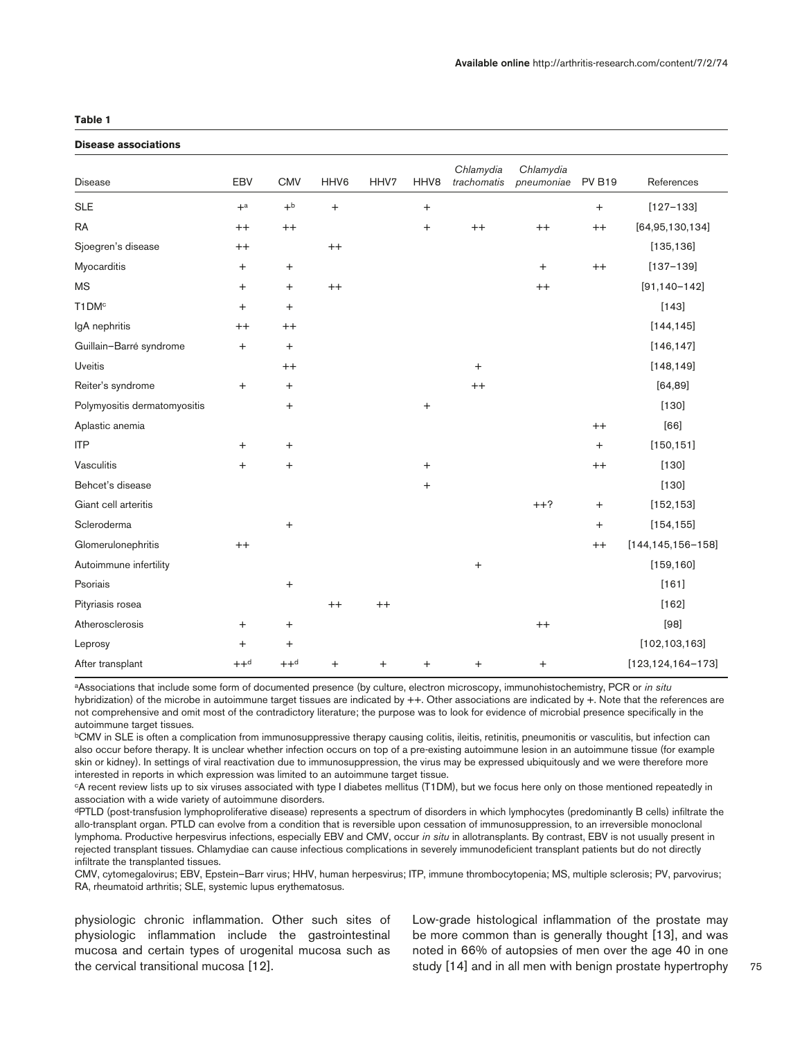## **Table 1**

## **Disease associations**

| <b>Disease</b>               | EBV                              | <b>CMV</b>                       | HHV6            | HHV7    | HHV8             | Chlamydia<br>trachomatis | Chlamydia<br>pneumoniae | <b>PV B19</b>                    | References              |
|------------------------------|----------------------------------|----------------------------------|-----------------|---------|------------------|--------------------------|-------------------------|----------------------------------|-------------------------|
| <b>SLE</b>                   | $+a$                             | $+^{\rm b}$                      | $\! + \!\!\!\!$ |         | $^{+}$           |                          |                         | $\boldsymbol{+}$                 | $[127 - 133]$           |
| <b>RA</b>                    | $^{++}$                          | $^{++}$                          |                 |         | $\ddot{}$        | $^{++}$                  | $^{++}$                 | $^{++}$                          | [64,95,130,134]         |
| Sjoegren's disease           | $^{++}$                          |                                  | $^{++}$         |         |                  |                          |                         |                                  | [135, 136]              |
| Myocarditis                  | $+$                              | $\begin{array}{c} + \end{array}$ |                 |         |                  |                          | $^{+}$                  | $^{++}$                          | $[137 - 139]$           |
| <b>MS</b>                    | $\begin{array}{c} + \end{array}$ | $\ddot{}$                        | $^{++}$         |         |                  |                          | $^{++}$                 |                                  | $[91, 140 - 142]$       |
| T1DM <sup>c</sup>            | $^{+}$                           | $\ddot{}$                        |                 |         |                  |                          |                         |                                  | $[143]$                 |
| IgA nephritis                | $^{++}$                          | $++$                             |                 |         |                  |                          |                         |                                  | [144, 145]              |
| Guillain-Barré syndrome      | $^{+}$                           | $^{+}$                           |                 |         |                  |                          |                         |                                  | [146, 147]              |
| <b>Uveitis</b>               |                                  | $^{++}$                          |                 |         |                  | $^{+}$                   |                         |                                  | [148, 149]              |
| Reiter's syndrome            | $+$                              | $\ddot{}$                        |                 |         |                  | $^{++}$                  |                         |                                  | [64, 89]                |
| Polymyositis dermatomyositis |                                  | $\ddot{}$                        |                 |         | $\! + \!\!\!\!$  |                          |                         |                                  | $[130]$                 |
| Aplastic anemia              |                                  |                                  |                 |         |                  |                          |                         | $^{++}$                          | [66]                    |
| <b>ITP</b>                   | $^{+}$                           | $\ddot{}$                        |                 |         |                  |                          |                         | $\ddot{}$                        | [150, 151]              |
| Vasculitis                   | $+$                              | $\begin{array}{c} + \end{array}$ |                 |         | $\boldsymbol{+}$ |                          |                         | $^{++}$                          | $[130]$                 |
| Behcet's disease             |                                  |                                  |                 |         | $^{+}$           |                          |                         |                                  | $[130]$                 |
| Giant cell arteritis         |                                  |                                  |                 |         |                  |                          | $++?$                   | $\begin{array}{c} + \end{array}$ | [152, 153]              |
| Scleroderma                  |                                  | $\ddot{}$                        |                 |         |                  |                          |                         | $\ddot{}$                        | [154, 155]              |
| Glomerulonephritis           | $^{++}$                          |                                  |                 |         |                  |                          |                         | $^{++}$                          | $[144, 145, 156 - 158]$ |
| Autoimmune infertility       |                                  |                                  |                 |         |                  | $^{+}$                   |                         |                                  | [159, 160]              |
| Psoriais                     |                                  | $\ddot{}$                        |                 |         |                  |                          |                         |                                  | [161]                   |
| Pityriasis rosea             |                                  |                                  | $^{++}$         | $^{++}$ |                  |                          |                         |                                  | [162]                   |
| Atherosclerosis              | $\hbox{+}$                       | $\ddot{}$                        |                 |         |                  |                          | $^{++}$                 |                                  | $[98]$                  |
| Leprosy                      | $+$                              | $\ddot{}$                        |                 |         |                  |                          |                         |                                  | [102, 103, 163]         |
| After transplant             | $++d$                            | $++^d$                           | $\ddot{}$       | $^{+}$  | $\ddot{}$        | $\ddot{}$                | $\ddot{}$               |                                  | $[123, 124, 164 - 173]$ |

aAssociations that include some form of documented presence (by culture, electron microscopy, immunohistochemistry, PCR or *in situ* hybridization) of the microbe in autoimmune target tissues are indicated by ++. Other associations are indicated by +. Note that the references are not comprehensive and omit most of the contradictory literature; the purpose was to look for evidence of microbial presence specifically in the autoimmune target tissues.

bCMV in SLE is often a complication from immunosuppressive therapy causing colitis, ileitis, retinitis, pneumonitis or vasculitis, but infection can also occur before therapy. It is unclear whether infection occurs on top of a pre-existing autoimmune lesion in an autoimmune tissue (for example skin or kidney). In settings of viral reactivation due to immunosuppression, the virus may be expressed ubiquitously and we were therefore more interested in reports in which expression was limited to an autoimmune target tissue.

cA recent review lists up to six viruses associated with type I diabetes mellitus (T1DM), but we focus here only on those mentioned repeatedly in association with a wide variety of autoimmune disorders.

dPTLD (post-transfusion lymphoproliferative disease) represents a spectrum of disorders in which lymphocytes (predominantly B cells) infiltrate the allo-transplant organ. PTLD can evolve from a condition that is reversible upon cessation of immunosuppression, to an irreversible monoclonal lymphoma. Productive herpesvirus infections, especially EBV and CMV, occur *in situ* in allotransplants. By contrast, EBV is not usually present in rejected transplant tissues. Chlamydiae can cause infectious complications in severely immunodeficient transplant patients but do not directly infiltrate the transplanted tissues.

CMV, cytomegalovirus; EBV, Epstein–Barr virus; HHV, human herpesvirus; ITP, immune thrombocytopenia; MS, multiple sclerosis; PV, parvovirus; RA, rheumatoid arthritis; SLE, systemic lupus erythematosus.

physiologic chronic inflammation. Other such sites of physiologic inflammation include the gastrointestinal mucosa and certain types of urogenital mucosa such as the cervical transitional mucosa [12].

Low-grade histological inflammation of the prostate may be more common than is generally thought [13], and was noted in 66% of autopsies of men over the age 40 in one study [14] and in all men with benign prostate hypertrophy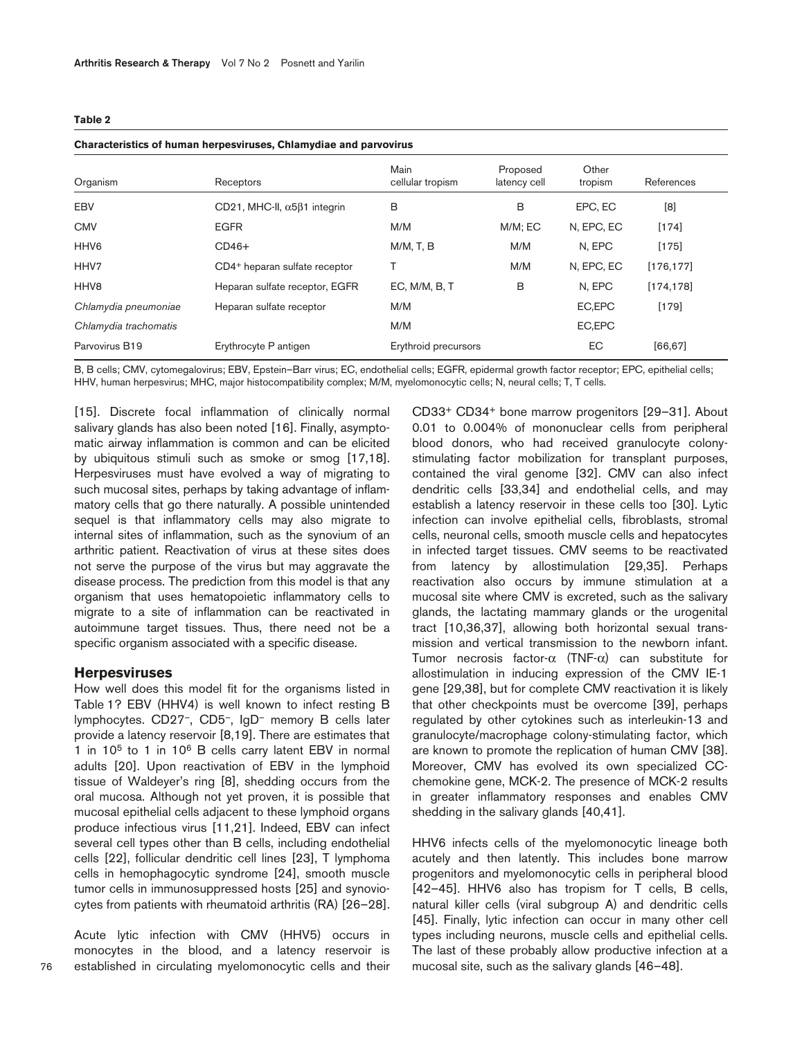#### **Table 2**

#### **Characteristics of human herpesviruses, Chlamydiae and parvovirus**

| Organism              | Receptors                                   | Main<br>cellular tropism | Proposed<br>latency cell | Other<br>tropism | References |  |  |  |  |  |
|-----------------------|---------------------------------------------|--------------------------|--------------------------|------------------|------------|--|--|--|--|--|
| EBV                   | CD21, MHC-II, $\alpha$ 5 $\beta$ 1 integrin | В                        | B                        | EPC, EC          | [8]        |  |  |  |  |  |
| <b>CMV</b>            | <b>EGFR</b>                                 | M/M                      | $M/M$ ; EC               | N, EPC, EC       | $[174]$    |  |  |  |  |  |
| HHV <sub>6</sub>      | $CD46+$                                     | M/M, T, B                | M/M                      | N, EPC           | $[175]$    |  |  |  |  |  |
| HHV7                  | CD4 <sup>+</sup> heparan sulfate receptor   |                          | M/M                      | N, EPC, EC       | [176, 177] |  |  |  |  |  |
| HHV <sub>8</sub>      | Heparan sulfate receptor, EGFR              | EC, M/M, B, T            | B                        | N, EPC           | [174, 178] |  |  |  |  |  |
| Chlamydia pneumoniae  | Heparan sulfate receptor                    | M/M                      |                          | EC,EPC           | $[179]$    |  |  |  |  |  |
| Chlamydia trachomatis |                                             | M/M                      |                          | EC,EPC           |            |  |  |  |  |  |
| Parvovirus B19        | Erythrocyte P antigen                       | Erythroid precursors     |                          | EC               | [66, 67]   |  |  |  |  |  |

B, B cells; CMV, cytomegalovirus; EBV, Epstein–Barr virus; EC, endothelial cells; EGFR, epidermal growth factor receptor; EPC, epithelial cells; HHV, human herpesvirus; MHC, major histocompatibility complex; M/M, myelomonocytic cells; N, neural cells; T, T cells.

[15]. Discrete focal inflammation of clinically normal salivary glands has also been noted [16]. Finally, asymptomatic airway inflammation is common and can be elicited by ubiquitous stimuli such as smoke or smog [17,18]. Herpesviruses must have evolved a way of migrating to such mucosal sites, perhaps by taking advantage of inflammatory cells that go there naturally. A possible unintended sequel is that inflammatory cells may also migrate to internal sites of inflammation, such as the synovium of an arthritic patient. Reactivation of virus at these sites does not serve the purpose of the virus but may aggravate the disease process. The prediction from this model is that any organism that uses hematopoietic inflammatory cells to migrate to a site of inflammation can be reactivated in autoimmune target tissues. Thus, there need not be a specific organism associated with a specific disease.

## **Herpesviruses**

How well does this model fit for the organisms listed in Table 1? EBV (HHV4) is well known to infect resting B lymphocytes. CD27–, CD5–, IgD– memory B cells later provide a latency reservoir [8,19]. There are estimates that 1 in 105 to 1 in 106 B cells carry latent EBV in normal adults [20]. Upon reactivation of EBV in the lymphoid tissue of Waldeyer's ring [8], shedding occurs from the oral mucosa. Although not yet proven, it is possible that mucosal epithelial cells adjacent to these lymphoid organs produce infectious virus [11,21]. Indeed, EBV can infect several cell types other than B cells, including endothelial cells [22], follicular dendritic cell lines [23], T lymphoma cells in hemophagocytic syndrome [24], smooth muscle tumor cells in immunosuppressed hosts [25] and synoviocytes from patients with rheumatoid arthritis (RA) [26–28].

Acute lytic infection with CMV (HHV5) occurs in monocytes in the blood, and a latency reservoir is established in circulating myelomonocytic cells and their CD33+ CD34+ bone marrow progenitors [29–31]. About 0.01 to 0.004% of mononuclear cells from peripheral blood donors, who had received granulocyte colonystimulating factor mobilization for transplant purposes, contained the viral genome [32]. CMV can also infect dendritic cells [33,34] and endothelial cells, and may establish a latency reservoir in these cells too [30]. Lytic infection can involve epithelial cells, fibroblasts, stromal cells, neuronal cells, smooth muscle cells and hepatocytes in infected target tissues. CMV seems to be reactivated from latency by allostimulation [29,35]. Perhaps reactivation also occurs by immune stimulation at a mucosal site where CMV is excreted, such as the salivary glands, the lactating mammary glands or the urogenital tract [10,36,37], allowing both horizontal sexual transmission and vertical transmission to the newborn infant. Tumor necrosis factor-α (TNF-α) can substitute for allostimulation in inducing expression of the CMV IE-1 gene [29,38], but for complete CMV reactivation it is likely that other checkpoints must be overcome [39], perhaps regulated by other cytokines such as interleukin-13 and granulocyte/macrophage colony-stimulating factor, which are known to promote the replication of human CMV [38]. Moreover, CMV has evolved its own specialized CCchemokine gene, MCK-2. The presence of MCK-2 results in greater inflammatory responses and enables CMV shedding in the salivary glands [40,41].

HHV6 infects cells of the myelomonocytic lineage both acutely and then latently. This includes bone marrow progenitors and myelomonocytic cells in peripheral blood [42–45]. HHV6 also has tropism for T cells, B cells, natural killer cells (viral subgroup A) and dendritic cells [45]. Finally, lytic infection can occur in many other cell types including neurons, muscle cells and epithelial cells. The last of these probably allow productive infection at a mucosal site, such as the salivary glands [46–48].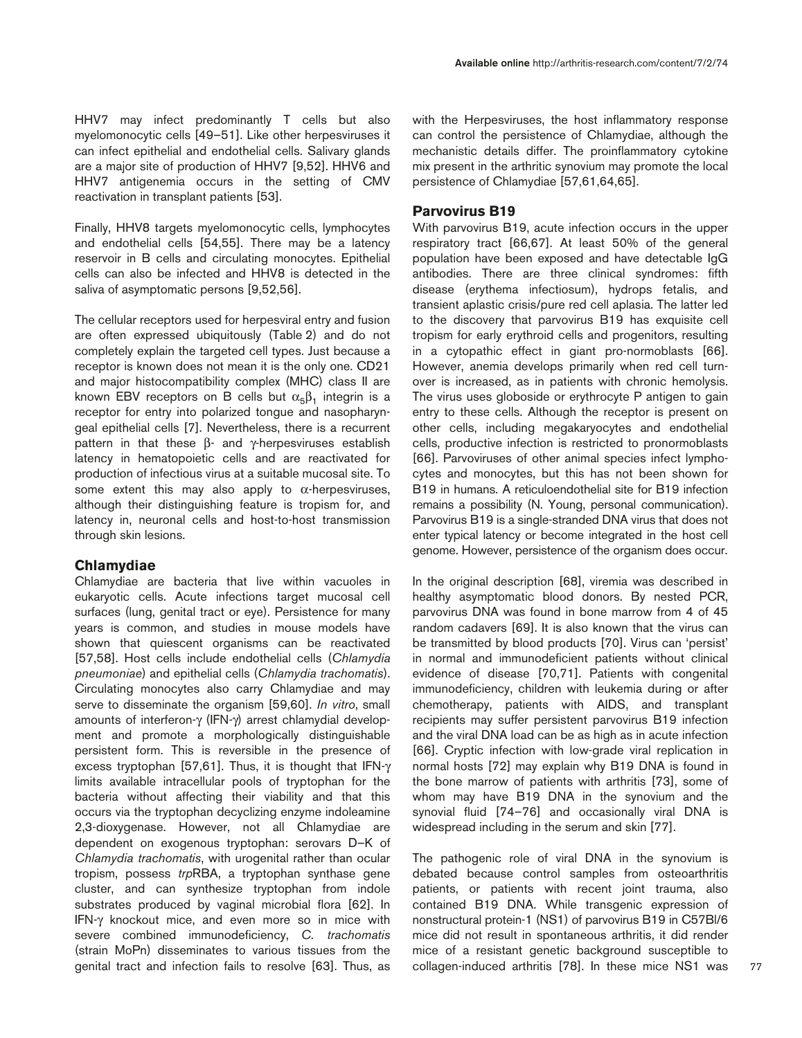HHV7 may infect predominantly T cells but also myelomonocytic cells [49–51]. Like other herpesviruses it can infect epithelial and endothelial cells. Salivary glands are a major site of production of HHV7 [9,52]. HHV6 and HHV7 antigenemia occurs in the setting of CMV reactivation in transplant patients [53].

Finally, HHV8 targets myelomonocytic cells, lymphocytes and endothelial cells [54,55]. There may be a latency reservoir in B cells and circulating monocytes. Epithelial cells can also be infected and HHV8 is detected in the saliva of asymptomatic persons [9,52,56].

The cellular receptors used for herpesviral entry and fusion are often expressed ubiquitously (Table 2) and do not completely explain the targeted cell types. Just because a receptor is known does not mean it is the only one. CD21 and major histocompatibility complex (MHC) class II are known EBV receptors on B cells but  $\alpha_5\beta_1$  integrin is a receptor for entry into polarized tongue and nasopharyngeal epithelial cells [7]. Nevertheless, there is a recurrent pattern in that these  $β$ - and γ-herpesviruses establish latency in hematopoietic cells and are reactivated for production of infectious virus at a suitable mucosal site. To some extent this may also apply to  $\alpha$ -herpesviruses, although their distinguishing feature is tropism for, and latency in, neuronal cells and host-to-host transmission through skin lesions.

## **Chlamydiae**

Chlamydiae are bacteria that live within vacuoles in eukaryotic cells. Acute infections target mucosal cell surfaces (lung, genital tract or eye). Persistence for many years is common, and studies in mouse models have shown that quiescent organisms can be reactivated [57,58]. Host cells include endothelial cells (*Chlamydia pneumoniae*) and epithelial cells (*Chlamydia trachomatis*). Circulating monocytes also carry Chlamydiae and may serve to disseminate the organism [59,60]. *In vitro*, small amounts of interferon-γ (IFN-γ) arrest chlamydial development and promote a morphologically distinguishable persistent form. This is reversible in the presence of excess tryptophan [57,61]. Thus, it is thought that IFN-γ limits available intracellular pools of tryptophan for the bacteria without affecting their viability and that this occurs via the tryptophan decyclizing enzyme indoleamine 2,3-dioxygenase. However, not all Chlamydiae are dependent on exogenous tryptophan: serovars D–K of *Chlamydia trachomatis*, with urogenital rather than ocular tropism, possess *trp*RBA, a tryptophan synthase gene cluster, and can synthesize tryptophan from indole substrates produced by vaginal microbial flora [62]. In IFN-γ knockout mice, and even more so in mice with severe combined immunodeficiency, *C. trachomatis* (strain MoPn) disseminates to various tissues from the genital tract and infection fails to resolve [63]. Thus, as

with the Herpesviruses, the host inflammatory response can control the persistence of Chlamydiae, although the mechanistic details differ. The proinflammatory cytokine mix present in the arthritic synovium may promote the local persistence of Chlamydiae [57,61,64,65].

## **Parvovirus B19**

With parvovirus B19, acute infection occurs in the upper respiratory tract [66,67]. At least 50% of the general population have been exposed and have detectable IgG antibodies. There are three clinical syndromes: fifth disease (erythema infectiosum), hydrops fetalis, and transient aplastic crisis/pure red cell aplasia. The latter led to the discovery that parvovirus B19 has exquisite cell tropism for early erythroid cells and progenitors, resulting in a cytopathic effect in giant pro-normoblasts [66]. However, anemia develops primarily when red cell turnover is increased, as in patients with chronic hemolysis. The virus uses globoside or erythrocyte P antigen to gain entry to these cells. Although the receptor is present on other cells, including megakaryocytes and endothelial cells, productive infection is restricted to pronormoblasts [66]. Parvoviruses of other animal species infect lymphocytes and monocytes, but this has not been shown for B19 in humans. A reticuloendothelial site for B19 infection remains a possibility (N. Young, personal communication). Parvovirus B19 is a single-stranded DNA virus that does not enter typical latency or become integrated in the host cell genome. However, persistence of the organism does occur.

In the original description [68], viremia was described in healthy asymptomatic blood donors. By nested PCR, parvovirus DNA was found in bone marrow from 4 of 45 random cadavers [69]. It is also known that the virus can be transmitted by blood products [70]. Virus can 'persist' in normal and immunodeficient patients without clinical evidence of disease [70,71]. Patients with congenital immunodeficiency, children with leukemia during or after chemotherapy, patients with AIDS, and transplant recipients may suffer persistent parvovirus B19 infection and the viral DNA load can be as high as in acute infection [66]. Cryptic infection with low-grade viral replication in normal hosts [72] may explain why B19 DNA is found in the bone marrow of patients with arthritis [73], some of whom may have B19 DNA in the synovium and the synovial fluid [74–76] and occasionally viral DNA is widespread including in the serum and skin [77].

The pathogenic role of viral DNA in the synovium is debated because control samples from osteoarthritis patients, or patients with recent joint trauma, also contained B19 DNA. While transgenic expression of nonstructural protein-1 (NS1) of parvovirus B19 in C57Bl/6 mice did not result in spontaneous arthritis, it did render mice of a resistant genetic background susceptible to collagen-induced arthritis [78]. In these mice NS1 was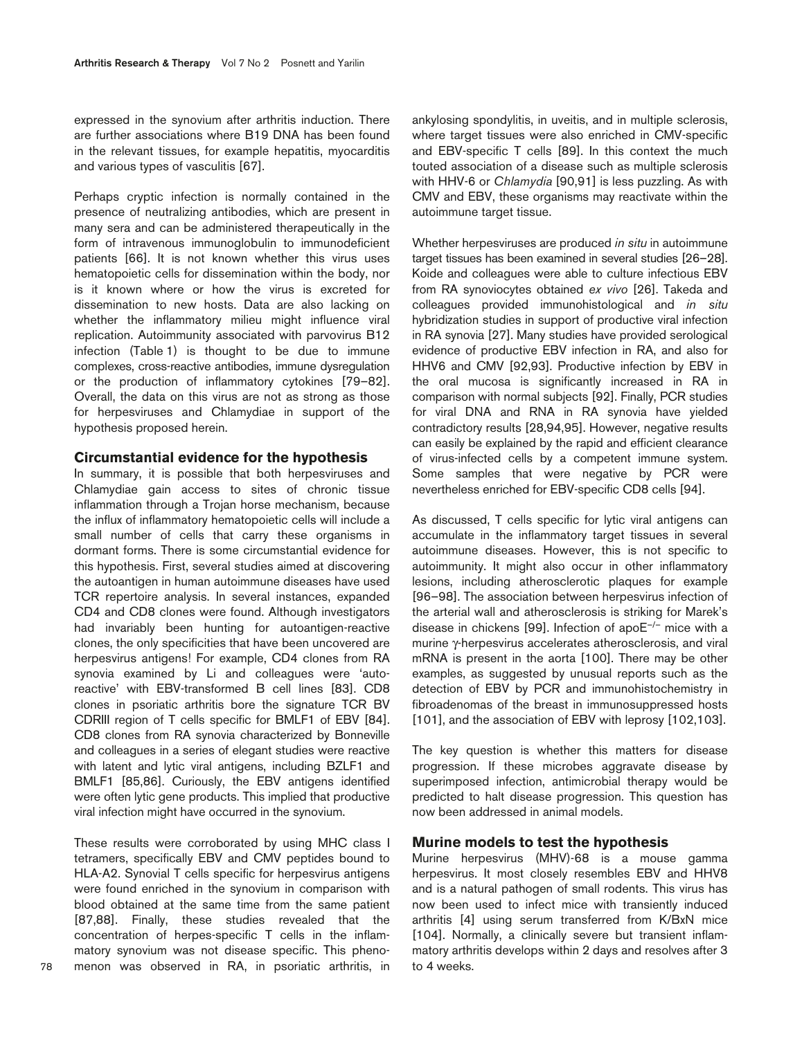expressed in the synovium after arthritis induction. There are further associations where B19 DNA has been found in the relevant tissues, for example hepatitis, myocarditis and various types of vasculitis [67].

Perhaps cryptic infection is normally contained in the presence of neutralizing antibodies, which are present in many sera and can be administered therapeutically in the form of intravenous immunoglobulin to immunodeficient patients [66]. It is not known whether this virus uses hematopoietic cells for dissemination within the body, nor is it known where or how the virus is excreted for dissemination to new hosts. Data are also lacking on whether the inflammatory milieu might influence viral replication. Autoimmunity associated with parvovirus B12 infection (Table 1) is thought to be due to immune complexes, cross-reactive antibodies, immune dysregulation or the production of inflammatory cytokines [79–82]. Overall, the data on this virus are not as strong as those for herpesviruses and Chlamydiae in support of the hypothesis proposed herein.

## **Circumstantial evidence for the hypothesis**

In summary, it is possible that both herpesviruses and Chlamydiae gain access to sites of chronic tissue inflammation through a Trojan horse mechanism, because the influx of inflammatory hematopoietic cells will include a small number of cells that carry these organisms in dormant forms. There is some circumstantial evidence for this hypothesis. First, several studies aimed at discovering the autoantigen in human autoimmune diseases have used TCR repertoire analysis. In several instances, expanded CD4 and CD8 clones were found. Although investigators had invariably been hunting for autoantigen-reactive clones, the only specificities that have been uncovered are herpesvirus antigens! For example, CD4 clones from RA synovia examined by Li and colleagues were 'autoreactive' with EBV-transformed B cell lines [83]. CD8 clones in psoriatic arthritis bore the signature TCR BV CDRIII region of T cells specific for BMLF1 of EBV [84]. CD8 clones from RA synovia characterized by Bonneville and colleagues in a series of elegant studies were reactive with latent and lytic viral antigens, including BZLF1 and BMLF1 [85,86]. Curiously, the EBV antigens identified were often lytic gene products. This implied that productive viral infection might have occurred in the synovium.

These results were corroborated by using MHC class I tetramers, specifically EBV and CMV peptides bound to HLA-A2. Synovial T cells specific for herpesvirus antigens were found enriched in the synovium in comparison with blood obtained at the same time from the same patient [87,88]. Finally, these studies revealed that the concentration of herpes-specific T cells in the inflammatory synovium was not disease specific. This phenomenon was observed in RA, in psoriatic arthritis, in

ankylosing spondylitis, in uveitis, and in multiple sclerosis, where target tissues were also enriched in CMV-specific and EBV-specific T cells [89]. In this context the much touted association of a disease such as multiple sclerosis with HHV-6 or *Chlamydia* [90,91] is less puzzling. As with CMV and EBV, these organisms may reactivate within the autoimmune target tissue.

Whether herpesviruses are produced *in situ* in autoimmune target tissues has been examined in several studies [26–28]. Koide and colleagues were able to culture infectious EBV from RA synoviocytes obtained *ex vivo* [26]. Takeda and colleagues provided immunohistological and *in situ* hybridization studies in support of productive viral infection in RA synovia [27]. Many studies have provided serological evidence of productive EBV infection in RA, and also for HHV6 and CMV [92,93]. Productive infection by EBV in the oral mucosa is significantly increased in RA in comparison with normal subjects [92]. Finally, PCR studies for viral DNA and RNA in RA synovia have yielded contradictory results [28,94,95]. However, negative results can easily be explained by the rapid and efficient clearance of virus-infected cells by a competent immune system. Some samples that were negative by PCR were nevertheless enriched for EBV-specific CD8 cells [94].

As discussed, T cells specific for lytic viral antigens can accumulate in the inflammatory target tissues in several autoimmune diseases. However, this is not specific to autoimmunity. It might also occur in other inflammatory lesions, including atherosclerotic plaques for example [96–98]. The association between herpesvirus infection of the arterial wall and atherosclerosis is striking for Marek's disease in chickens [99]. Infection of apoE–/– mice with a murine γ-herpesvirus accelerates atherosclerosis, and viral mRNA is present in the aorta [100]. There may be other examples, as suggested by unusual reports such as the detection of EBV by PCR and immunohistochemistry in fibroadenomas of the breast in immunosuppressed hosts [101], and the association of EBV with leprosy [102,103].

The key question is whether this matters for disease progression. If these microbes aggravate disease by superimposed infection, antimicrobial therapy would be predicted to halt disease progression. This question has now been addressed in animal models.

## **Murine models to test the hypothesis**

Murine herpesvirus (MHV)-68 is a mouse gamma herpesvirus. It most closely resembles EBV and HHV8 and is a natural pathogen of small rodents. This virus has now been used to infect mice with transiently induced arthritis [4] using serum transferred from K/BxN mice [104]. Normally, a clinically severe but transient inflammatory arthritis develops within 2 days and resolves after 3 to 4 weeks.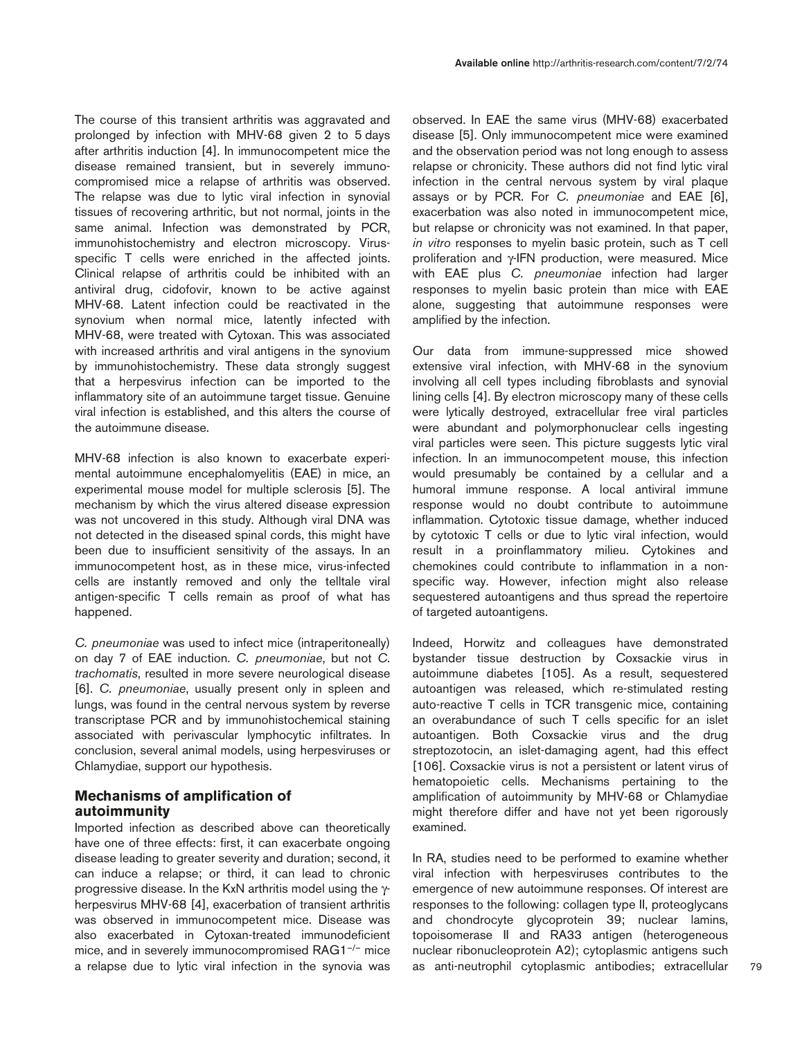The course of this transient arthritis was aggravated and prolonged by infection with MHV-68 given 2 to 5 days after arthritis induction [4]. In immunocompetent mice the disease remained transient, but in severely immunocompromised mice a relapse of arthritis was observed. The relapse was due to lytic viral infection in synovial tissues of recovering arthritic, but not normal, joints in the same animal. Infection was demonstrated by PCR, immunohistochemistry and electron microscopy. Virusspecific T cells were enriched in the affected joints. Clinical relapse of arthritis could be inhibited with an antiviral drug, cidofovir, known to be active against MHV-68. Latent infection could be reactivated in the synovium when normal mice, latently infected with MHV-68, were treated with Cytoxan. This was associated with increased arthritis and viral antigens in the synovium by immunohistochemistry. These data strongly suggest that a herpesvirus infection can be imported to the inflammatory site of an autoimmune target tissue. Genuine viral infection is established, and this alters the course of the autoimmune disease.

MHV-68 infection is also known to exacerbate experimental autoimmune encephalomyelitis (EAE) in mice, an experimental mouse model for multiple sclerosis [5]. The mechanism by which the virus altered disease expression was not uncovered in this study. Although viral DNA was not detected in the diseased spinal cords, this might have been due to insufficient sensitivity of the assays. In an immunocompetent host, as in these mice, virus-infected cells are instantly removed and only the telltale viral antigen-specific T cells remain as proof of what has happened.

*C. pneumoniae* was used to infect mice (intraperitoneally) on day 7 of EAE induction. *C. pneumoniae*, but not *C. trachomatis*, resulted in more severe neurological disease [6]. *C. pneumoniae*, usually present only in spleen and lungs, was found in the central nervous system by reverse transcriptase PCR and by immunohistochemical staining associated with perivascular lymphocytic infiltrates. In conclusion, several animal models, using herpesviruses or Chlamydiae, support our hypothesis.

# **Mechanisms of amplification of autoimmunity**

Imported infection as described above can theoretically have one of three effects: first, it can exacerbate ongoing disease leading to greater severity and duration; second, it can induce a relapse; or third, it can lead to chronic progressive disease. In the KxN arthritis model using the γherpesvirus MHV-68 [4], exacerbation of transient arthritis was observed in immunocompetent mice. Disease was also exacerbated in Cytoxan-treated immunodeficient mice, and in severely immunocompromised RAG1<sup>-/-</sup> mice a relapse due to lytic viral infection in the synovia was

observed. In EAE the same virus (MHV-68) exacerbated disease [5]. Only immunocompetent mice were examined and the observation period was not long enough to assess relapse or chronicity. These authors did not find lytic viral infection in the central nervous system by viral plaque assays or by PCR. For *C. pneumoniae* and EAE [6], exacerbation was also noted in immunocompetent mice, but relapse or chronicity was not examined. In that paper, *in vitro* responses to myelin basic protein, such as T cell proliferation and γ-IFN production, were measured. Mice with EAE plus *C. pneumoniae* infection had larger responses to myelin basic protein than mice with EAE alone, suggesting that autoimmune responses were amplified by the infection.

Our data from immune-suppressed mice showed extensive viral infection, with MHV-68 in the synovium involving all cell types including fibroblasts and synovial lining cells [4]. By electron microscopy many of these cells were lytically destroyed, extracellular free viral particles were abundant and polymorphonuclear cells ingesting viral particles were seen. This picture suggests lytic viral infection. In an immunocompetent mouse, this infection would presumably be contained by a cellular and a humoral immune response. A local antiviral immune response would no doubt contribute to autoimmune inflammation. Cytotoxic tissue damage, whether induced by cytotoxic T cells or due to lytic viral infection, would result in a proinflammatory milieu. Cytokines and chemokines could contribute to inflammation in a nonspecific way. However, infection might also release sequestered autoantigens and thus spread the repertoire of targeted autoantigens.

Indeed, Horwitz and colleagues have demonstrated bystander tissue destruction by Coxsackie virus in autoimmune diabetes [105]. As a result, sequestered autoantigen was released, which re-stimulated resting auto-reactive T cells in TCR transgenic mice, containing an overabundance of such T cells specific for an islet autoantigen. Both Coxsackie virus and the drug streptozotocin, an islet-damaging agent, had this effect [106]. Coxsackie virus is not a persistent or latent virus of hematopoietic cells. Mechanisms pertaining to the amplification of autoimmunity by MHV-68 or Chlamydiae might therefore differ and have not yet been rigorously examined.

In RA, studies need to be performed to examine whether viral infection with herpesviruses contributes to the emergence of new autoimmune responses. Of interest are responses to the following: collagen type II, proteoglycans and chondrocyte glycoprotein 39; nuclear lamins, topoisomerase II and RA33 antigen (heterogeneous nuclear ribonucleoprotein A2); cytoplasmic antigens such as anti-neutrophil cytoplasmic antibodies; extracellular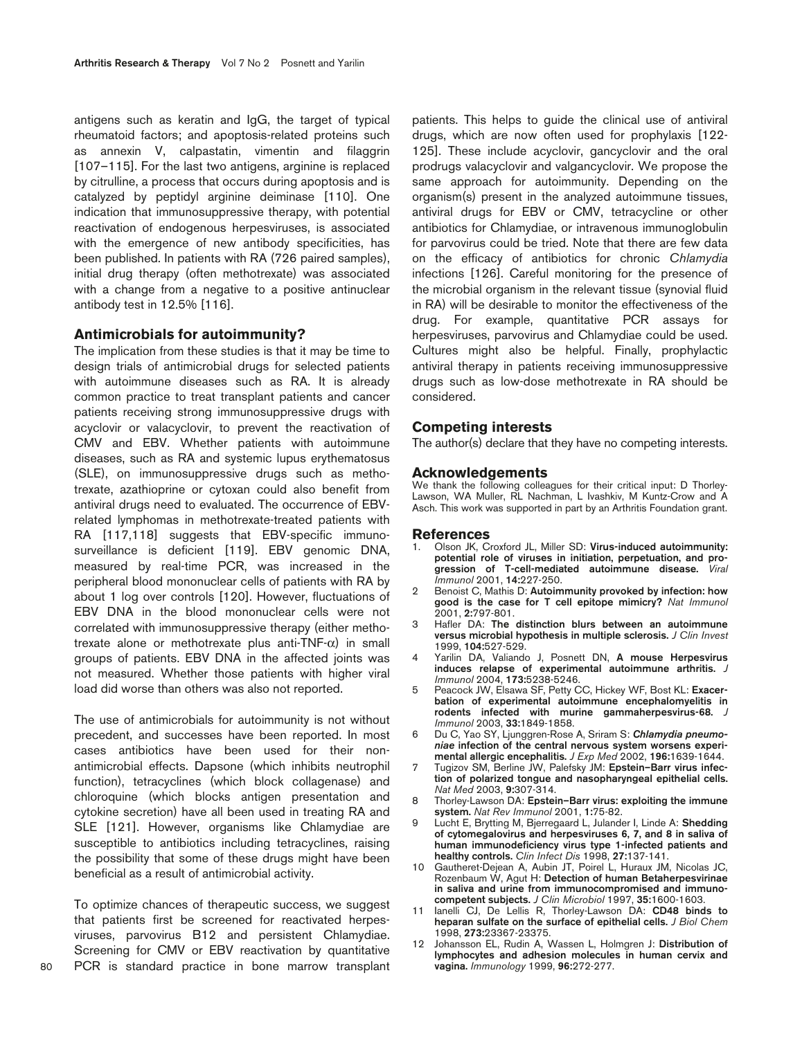antigens such as keratin and IgG, the target of typical rheumatoid factors; and apoptosis-related proteins such as annexin V, calpastatin, vimentin and filaggrin [107–115]. For the last two antigens, arginine is replaced by citrulline, a process that occurs during apoptosis and is catalyzed by peptidyl arginine deiminase [110]. One indication that immunosuppressive therapy, with potential reactivation of endogenous herpesviruses, is associated with the emergence of new antibody specificities, has been published. In patients with RA (726 paired samples), initial drug therapy (often methotrexate) was associated with a change from a negative to a positive antinuclear antibody test in 12.5% [116].

## **Antimicrobials for autoimmunity?**

The implication from these studies is that it may be time to design trials of antimicrobial drugs for selected patients with autoimmune diseases such as RA. It is already common practice to treat transplant patients and cancer patients receiving strong immunosuppressive drugs with acyclovir or valacyclovir, to prevent the reactivation of CMV and EBV. Whether patients with autoimmune diseases, such as RA and systemic lupus erythematosus (SLE), on immunosuppressive drugs such as methotrexate, azathioprine or cytoxan could also benefit from antiviral drugs need to evaluated. The occurrence of EBVrelated lymphomas in methotrexate-treated patients with RA [117,118] suggests that EBV-specific immunosurveillance is deficient [119]. EBV genomic DNA, measured by real-time PCR, was increased in the peripheral blood mononuclear cells of patients with RA by about 1 log over controls [120]. However, fluctuations of EBV DNA in the blood mononuclear cells were not correlated with immunosuppressive therapy (either methotrexate alone or methotrexate plus anti-TNF-α) in small groups of patients. EBV DNA in the affected joints was not measured. Whether those patients with higher viral load did worse than others was also not reported.

The use of antimicrobials for autoimmunity is not without precedent, and successes have been reported. In most cases antibiotics have been used for their nonantimicrobial effects. Dapsone (which inhibits neutrophil function), tetracyclines (which block collagenase) and chloroquine (which blocks antigen presentation and cytokine secretion) have all been used in treating RA and SLE [121]. However, organisms like Chlamydiae are susceptible to antibiotics including tetracyclines, raising the possibility that some of these drugs might have been beneficial as a result of antimicrobial activity.

To optimize chances of therapeutic success, we suggest that patients first be screened for reactivated herpesviruses, parvovirus B12 and persistent Chlamydiae. Screening for CMV or EBV reactivation by quantitative PCR is standard practice in bone marrow transplant patients. This helps to guide the clinical use of antiviral drugs, which are now often used for prophylaxis [122- 125]. These include acyclovir, gancyclovir and the oral prodrugs valacyclovir and valgancyclovir. We propose the same approach for autoimmunity. Depending on the organism(s) present in the analyzed autoimmune tissues, antiviral drugs for EBV or CMV, tetracycline or other antibiotics for Chlamydiae, or intravenous immunoglobulin for parvovirus could be tried. Note that there are few data on the efficacy of antibiotics for chronic *Chlamydia* infections [126]. Careful monitoring for the presence of the microbial organism in the relevant tissue (synovial fluid in RA) will be desirable to monitor the effectiveness of the drug. For example, quantitative PCR assays for herpesviruses, parvovirus and Chlamydiae could be used. Cultures might also be helpful. Finally, prophylactic antiviral therapy in patients receiving immunosuppressive drugs such as low-dose methotrexate in RA should be considered.

## **Competing interests**

The author(s) declare that they have no competing interests.

#### **Acknowledgements**

We thank the following colleagues for their critical input: D Thorley-Lawson, WA Muller, RL Nachman, L Ivashkiv, M Kuntz-Crow and A Asch. This work was supported in part by an Arthritis Foundation grant.

#### **References**

- 1. Olson JK, Croxford JL, Miller SD: **Virus-induced autoimmunity: potential role of viruses in initiation, perpetuation, and progression of T-cell-mediated autoimmune disease.** *Viral Immunol* 2001, **14:**227-250.
- 2 Benoist C, Mathis D: **Autoimmunity provoked by infection: how good is the case for T cell epitope mimicry?** *Nat Immunol* 2001, **2:**797-801.
- 3 Hafler DA: **The distinction blurs between an autoimmune versus microbial hypothesis in multiple sclerosis.** *J Clin Invest* 1999, **104:**527-529.
- 4 Yarilin DA, Valiando J, Posnett DN, **A mouse Herpesvirus induces relapse of experimental autoimmune arthritis.** *J Immunol* 2004, **173:**5238-5246.
- 5 Peacock JW, Elsawa SF, Petty CC, Hickey WF, Bost KL: **Exacerbation of experimental autoimmune encephalomyelitis in** rodents infected with murine gammaherpesvirus-68. *Immunol* 2003, **33:**1849-1858.
- 6 Du C, Yao SY, Ljunggren-Rose A, Sriram S: *Chlamydia pneumoniae* **infection of the central nervous system worsens experimental allergic encephalitis.** *J Exp Med* 2002, **196:**1639-1644.
- 7 Tugizov SM, Berline JW, Palefsky JM: **Epstein–Barr virus infection of polarized tongue and nasopharyngeal epithelial cells.** *Nat Med* 2003, **9:**307-314.
- 8 Thorley-Lawson DA: **Epstein–Barr virus: exploiting the immune system.** *Nat Rev Immunol* 2001, **1:**75-82.
- 9 Lucht E, Brytting M, Bjerregaard L, Julander I, Linde A: **Shedding of cytomegalovirus and herpesviruses 6, 7, and 8 in saliva of human immunodeficiency virus type 1-infected patients and healthy controls.** *Clin Infect Dis* 1998, **27:**137-141.
- 10 Gautheret-Dejean A, Aubin JT, Poirel L, Huraux JM, Nicolas JC, Rozenbaum W, Agut H: **Detection of human Betaherpesvirinae in saliva and urine from immunocompromised and immunocompetent subjects.** *J Clin Microbiol* 1997, **35:**1600-1603.
- 11 Ianelli CJ, De Lellis R, Thorley-Lawson DA: **CD48 binds to heparan sulfate on the surface of epithelial cells.** *J Biol Chem* 1998, **273:**23367-23375.
- 12 Johansson EL, Rudin A, Wassen L, Holmgren J: **Distribution of lymphocytes and adhesion molecules in human cervix and vagina.** *Immunology* 1999, **96:**272-277.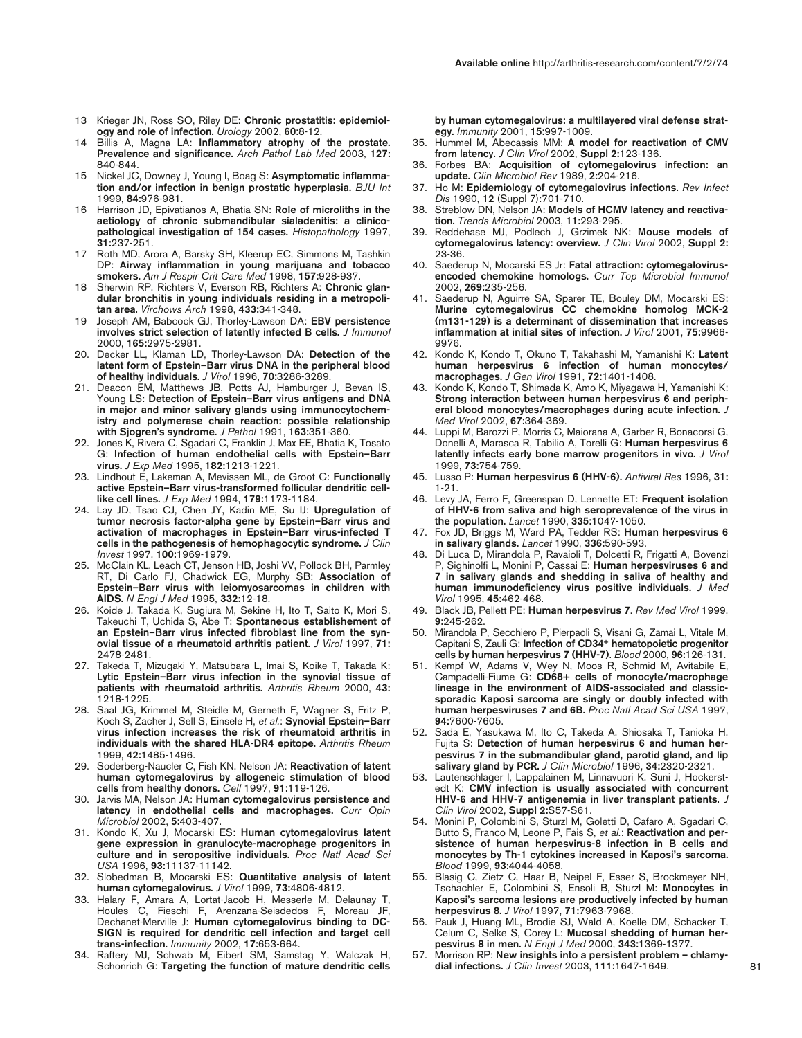- 13 Krieger JN, Ross SO, Riley DE: **Chronic prostatitis: epidemiology and role of infection.** *Urology* 2002, **60:**8-12.
- 14 Billis A, Magna LA: **Inflammatory atrophy of the prostate. Prevalence and significance.** *Arch Pathol Lab Med* 2003, **127:** 840-844.
- 15 Nickel JC, Downey J, Young I, Boag S: **Asymptomatic inflammation and/or infection in benign prostatic hyperplasia.** *BJU Int* 1999, **84:**976-981.
- 16 Harrison JD, Epivatianos A, Bhatia SN: **Role of microliths in the aetiology of chronic submandibular sialadenitis: a clinicopathological investigation of 154 cases.** *Histopathology* 1997, **31:**237-251.
- 17 Roth MD, Arora A, Barsky SH, Kleerup EC, Simmons M, Tashkin DP: **Airway inflammation in young marijuana and tobacco smokers.** *Am J Respir Crit Care Med* 1998, **157:**928-937.
- 18 Sherwin RP, Richters V, Everson RB, Richters A: **Chronic glandular bronchitis in young individuals residing in a metropolitan area.** *Virchows Arch* 1998, **433:**341-348.
- 19 Joseph AM, Babcock GJ, Thorley-Lawson DA: **EBV persistence involves strict selection of latently infected B cells.** *J Immunol* 2000, **165:**2975-2981.
- 20. Decker LL, Klaman LD, Thorley-Lawson DA: **Detection of the latent form of Epstein–Barr virus DNA in the peripheral blood of healthy individuals.** *J Virol* 1996, **70:**3286-3289.
- 21. Deacon EM, Matthews JB, Potts AJ, Hamburger J, Bevan IS, Young LS: **Detection of Epstein–Barr virus antigens and DNA in major and minor salivary glands using immunocytochemistry and polymerase chain reaction: possible relationship with Sjogren's syndrome.** *J Pathol* 1991, **163:**351-360.
- 22. Jones K, Rivera C, Sgadari C, Franklin J, Max EE, Bhatia K, Tosato G: **Infection of human endothelial cells with Epstein–Barr virus.** *J Exp Med* 1995, **182:**1213-1221.
- 23. Lindhout E, Lakeman A, Mevissen ML, de Groot C: **Functionally active Epstein–Barr virus-transformed follicular dendritic celllike cell lines.** *J Exp Med* 1994, **179:**1173-1184.
- 24. Lay JD, Tsao CJ, Chen JY, Kadin ME, Su IJ: **Upregulation of tumor necrosis factor-alpha gene by Epstein–Barr virus and activation of macrophages in Epstein–Barr virus-infected T cells in the pathogenesis of hemophagocytic syndrome.** *J Clin Invest* 1997, **100:**1969-1979.
- 25. McClain KL, Leach CT, Jenson HB, Joshi VV, Pollock BH, Parmley RT, Di Carlo FJ, Chadwick EG, Murphy SB: **Association of Epstein–Barr virus with leiomyosarcomas in children with AIDS.** *N Engl J Med* 1995, **332:**12-18.
- 26. Koide J, Takada K, Sugiura M, Sekine H, Ito T, Saito K, Mori S, Takeuchi T, Uchida S, Abe T: **Spontaneous establishement of an Epstein–Barr virus infected fibroblast line from the synovial tissue of a rheumatoid arthritis patient.** *J Virol* 1997, **71:** 2478-2481.
- 27. Takeda T, Mizugaki Y, Matsubara L, Imai S, Koike T, Takada K: **Lytic Epstein–Barr virus infection in the synovial tissue of patients with rheumatoid arthritis.** *Arthritis Rheum* 2000, **43:** 1218-1225.
- 28. Saal JG, Krimmel M, Steidle M, Gerneth F, Wagner S, Fritz P, Koch S, Zacher J, Sell S, Einsele H, *et al.*: **Synovial Epstein–Barr virus infection increases the risk of rheumatoid arthritis in individuals with the shared HLA-DR4 epitope.** *Arthritis Rheum* 1999, **42:**1485-1496.
- 29. Soderberg-Naucler C, Fish KN, Nelson JA: **Reactivation of latent human cytomegalovirus by allogeneic stimulation of blood cells from healthy donors.** *Cell* 1997, **91:**119-126.
- 30. Jarvis MA, Nelson JA: **Human cytomegalovirus persistence and latency in endothelial cells and macrophages.** *Curr Opin Microbiol* 2002, **5:**403-407.
- 31. Kondo K, Xu J, Mocarski ES: **Human cytomegalovirus latent gene expression in granulocyte-macrophage progenitors in culture and in seropositive individuals.** *Proc Natl Acad Sci USA* 1996, **93:**11137-11142.
- 32. Slobedman B, Mocarski ES: **Quantitative analysis of latent human cytomegalovirus.** *J Virol* 1999, **73:**4806-4812.
- 33. Halary F, Amara A, Lortat-Jacob H, Messerle M, Delaunay T, Houles C, Fieschi F, Arenzana-Seisdedos F, Moreau JF, Dechanet-Merville J: **Human cytomegalovirus binding to DC-SIGN is required for dendritic cell infection and target cell trans-infection.** *Immunity* 2002, **17:**653-664.
- 34. Raftery MJ, Schwab M, Eibert SM, Samstag Y, Walczak H, Schonrich G: **Targeting the function of mature dendritic cells**

**by human cytomegalovirus: a multilayered viral defense strategy.** *Immunity* 2001, **15:**997-1009.

- 35. Hummel M, Abecassis MM: **A model for reactivation of CMV from latency.** *J Clin Virol* 2002, **Suppl 2:**123-136.
- 36. Forbes BA: **Acquisition of cytomegalovirus infection: an update.** *Clin Microbiol Rev* 1989, **2:**204-216.
- 37. Ho M: **Epidemiology of cytomegalovirus infections.** *Rev Infect Dis* 1990, **12** (Suppl 7):701-710.
- 38. Streblow DN, Nelson JA: **Models of HCMV latency and reactivation.** *Trends Microbiol* 2003, **11:**293-295.
- 39. Reddehase MJ, Podlech J, Grzimek NK: **Mouse models of cytomegalovirus latency: overview.** *J Clin Virol* 2002, **Suppl 2:** 23-36.
- 40. Saederup N, Mocarski ES Jr: **Fatal attraction: cytomegalovirusencoded chemokine homologs.** *Curr Top Microbiol Immunol* 2002, **269:**235-256.
- 41. Saederup N, Aguirre SA, Sparer TE, Bouley DM, Mocarski ES: **Murine cytomegalovirus CC chemokine homolog MCK-2 (m131-129) is a determinant of dissemination that increases inflammation at initial sites of infection.** *J Virol* 2001, **75:**9966- 9976.
- 42. Kondo K, Kondo T, Okuno T, Takahashi M, Yamanishi K: **Latent human herpesvirus 6 infection of human monocytes/ macrophages.** *J Gen Virol* 1991, **72:**1401-1408.
- 43. Kondo K, Kondo T, Shimada K, Amo K, Miyagawa H, Yamanishi K: **Strong interaction between human herpesvirus 6 and peripheral blood monocytes/macrophages during acute infection.** *J Med Virol* 2002, **67:**364-369.
- 44. Luppi M, Barozzi P, Morris C, Maiorana A, Garber R, Bonacorsi G, Donelli A, Marasca R, Tabilio A, Torelli G: **Human herpesvirus 6 latently infects early bone marrow progenitors in vivo.** *J Virol* 1999, **73:**754-759.
- 45. Lusso P: **Human herpesvirus 6 (HHV-6).** *Antiviral Res* 1996, **31:** 1-21.
- 46. Levy JA, Ferro F, Greenspan D, Lennette ET: **Frequent isolation of HHV-6 from saliva and high seroprevalence of the virus in the population.** *Lancet* 1990, **335:**1047-1050.
- 47. Fox JD, Briggs M, Ward PA, Tedder RS: **Human herpesvirus 6 in salivary glands.** *Lancet* 1990, **336:**590-593.
- 48. Di Luca D, Mirandola P, Ravaioli T, Dolcetti R, Frigatti A, Bovenzi P, Sighinolfi L, Monini P, Cassai E: **Human herpesviruses 6 and 7 in salivary glands and shedding in saliva of healthy and human immunodeficiency virus positive individuals.** *J Med Virol* 1995, **45:**462-468.
- 49. Black JB, Pellett PE: **Human herpesvirus 7**. *Rev Med Virol* 1999, **9:**245-262.
- 50. Mirandola P, Secchiero P, Pierpaoli S, Visani G, Zamai L, Vitale M, Capitani S, Zauli G: **Infection of CD34+ hematopoietic progenitor cells by human herpesvirus 7 (HHV-7)**. *Blood* 2000, **96:**126-131.
- 51. Kempf W, Adams V, Wey N, Moos R, Schmid M, Avitabile E, Campadelli-Fiume G: **CD68+ cells of monocyte/macrophage lineage in the environment of AIDS-associated and classicsporadic Kaposi sarcoma are singly or doubly infected with human herpesviruses 7 and 6B.** *Proc Natl Acad Sci USA* 1997, **94:**7600-7605.
- 52. Sada E, Yasukawa M, Ito C, Takeda A, Shiosaka T, Tanioka H, Fujita S: **Detection of human herpesvirus 6 and human herpesvirus 7 in the submandibular gland, parotid gland, and lip salivary gland by PCR.** *J Clin Microbiol* 1996, **34:**2320-2321.
- 53. Lautenschlager I, Lappalainen M, Linnavuori K, Suni J, Hockerstedt K: **CMV infection is usually associated with concurrent HHV-6 and HHV-7 antigenemia in liver transplant patients.** *J Clin Virol* 2002, **Suppl 2:**S57-S61.
- 54. Monini P, Colombini S, Sturzl M, Goletti D, Cafaro A, Sgadari C, Butto S, Franco M, Leone P, Fais S, *et al.*: **Reactivation and persistence of human herpesvirus-8 infection in B cells and monocytes by Th-1 cytokines increased in Kaposi's sarcoma.** *Blood* 1999, **93:**4044-4058.
- 55. Blasig C, Zietz C, Haar B, Neipel F, Esser S, Brockmeyer NH, Tschachler E, Colombini S, Ensoli B, Sturzl M: **Monocytes in Kaposi's sarcoma lesions are productively infected by human herpesvirus 8.** *J Virol* 1997, **71:**7963-7968.
- 56. Pauk J, Huang ML, Brodie SJ, Wald A, Koelle DM, Schacker T, Celum C, Selke S, Corey L: **Mucosal shedding of human herpesvirus 8 in men.** *N Engl J Med* 2000, **343:**1369-1377.
- 57. Morrison RP: **New insights into a persistent problem chlamydial infections.** *J Clin Invest* 2003, **111:**1647-1649.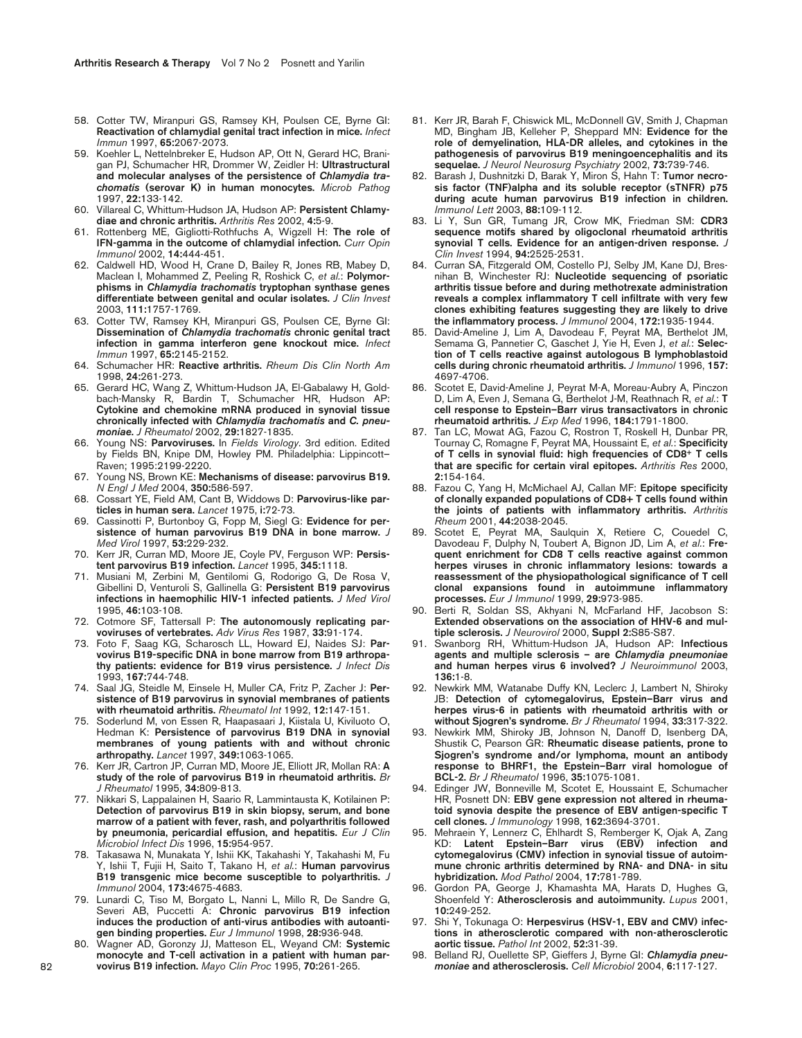- 58. Cotter TW, Miranpuri GS, Ramsey KH, Poulsen CE, Byrne GI: **Reactivation of chlamydial genital tract infection in mice.** *Infect Immun* 1997, **65:**2067-2073.
- 59. Koehler L, Nettelnbreker E, Hudson AP, Ott N, Gerard HC, Branigan PJ, Schumacher HR, Drommer W, Zeidler H: **Ultrastructural and molecular analyses of the persistence of** *Chlamydia trachomatis* **(serovar K) in human monocytes.** *Microb Pathog* 1997, **22:**133-142.
- 60. Villareal C, Whittum-Hudson JA, Hudson AP: **Persistent Chlamydiae and chronic arthritis.** *Arthritis Res* 2002, **4:**5-9.
- 61. Rottenberg ME, Gigliotti-Rothfuchs A, Wigzell H: **The role of IFN-gamma in the outcome of chlamydial infection.** *Curr Opin Immunol* 2002, **14:**444-451.
- 62. Caldwell HD, Wood H, Crane D, Bailey R, Jones RB, Mabey D, Maclean I, Mohammed Z, Peeling R, Roshick C, *et al.*: **Polymorphisms in** *Chlamydia trachomatis* **tryptophan synthase genes differentiate between genital and ocular isolates.** *J Clin Invest* 2003, **111:**1757-1769.
- 63. Cotter TW, Ramsey KH, Miranpuri GS, Poulsen CE, Byrne GI: **Dissemination of** *Chlamydia trachomatis* **chronic genital tract infection in gamma interferon gene knockout mice.** *Infect Immun* 1997, **65:**2145-2152.
- 64. Schumacher HR: **Reactive arthritis.** *Rheum Dis Clin North Am* 1998, **24:**261-273.
- 65. Gerard HC, Wang Z, Whittum-Hudson JA, El-Gabalawy H, Goldbach-Mansky R, Bardin T, Schumacher HR, Hudson AP: **Cytokine and chemokine mRNA produced in synovial tissue chronically infected with** *Chlamydia trachomatis* **and** *C. pneumoniae***.** *J Rheumatol* 2002, **29:**1827-1835.
- 66. Young NS: **Parvoviruses.** In *Fields Virology*. 3rd edition. Edited by Fields BN, Knipe DM, Howley PM. Philadelphia: Lippincott-Raven; 1995:2199-2220.
- 67. Young NS, Brown KE: **Mechanisms of disease: parvovirus B19.** *N Engl J Med* 2004, **350:**586-597.
- 68. Cossart YE, Field AM, Cant B, Widdows D: **Parvovirus-like particles in human sera.** *Lancet* 1975, **i:**72-73.
- 69. Cassinotti P, Burtonboy G, Fopp M, Siegl G: **Evidence for persistence of human parvovirus B19 DNA in bone marrow.** *J Med Virol* 1997, **53:**229-232.
- 70. Kerr JR, Curran MD, Moore JE, Coyle PV, Ferguson WP: **Persistent parvovirus B19 infection.** *Lancet* 1995, **345:**1118.
- 71. Musiani M, Zerbini M, Gentilomi G, Rodorigo G, De Rosa V, Gibellini D, Venturoli S, Gallinella G: **Persistent B19 parvovirus infections in haemophilic HIV-1 infected patients.** *J Med Virol* 1995, **46:**103-108.
- 72. Cotmore SF, Tattersall P: **The autonomously replicating parvoviruses of vertebrates.** *Adv Virus Res* 1987, **33:**91-174.
- 73. Foto F, Saag KG, Scharosch LL, Howard EJ, Naides SJ: **Parvovirus B19-specific DNA in bone marrow from B19 arthropathy patients: evidence for B19 virus persistence.** *J Infect Dis* 1993, **167:**744-748.
- 74. Saal JG, Steidle M, Einsele H, Muller CA, Fritz P, Zacher J: **Persistence of B19 parvovirus in synovial membranes of patients with rheumatoid arthritis.** *Rheumatol Int* 1992, **12:**147-151.
- 75. Soderlund M, von Essen R, Haapasaari J, Kiistala U, Kiviluoto O, Hedman K: **Persistence of parvovirus B19 DNA in synovial membranes of young patients with and without chronic arthropathy.** *Lancet* 1997, **349:**1063-1065.
- 76. Kerr JR, Cartron JP, Curran MD, Moore JE, Elliott JR, Mollan RA: **A study of the role of parvovirus B19 in rheumatoid arthritis.** *Br J Rheumatol* 1995, **34:**809-813.
- 77. Nikkari S, Lappalainen H, Saario R, Lammintausta K, Kotilainen P: **Detection of parvovirus B19 in skin biopsy, serum, and bone marrow of a patient with fever, rash, and polyarthritis followed by pneumonia, pericardial effusion, and hepatitis.** *Eur J Clin Microbiol Infect Dis* 1996, **15:**954-957.
- 78. Takasawa N, Munakata Y, Ishii KK, Takahashi Y, Takahashi M, Fu Y, Ishii T, Fujii H, Saito T, Takano H, *et al.*: **Human parvovirus B19 transgenic mice become susceptible to polyarthritis.** *J Immunol* 2004, **173:**4675-4683.
- 79. Lunardi C, Tiso M, Borgato L, Nanni L, Millo R, De Sandre G, Severi AB, Puccetti A: **Chronic parvovirus B19 infection induces the production of anti-virus antibodies with autoantigen binding properties.** *Eur J Immunol* 1998, **28:**936-948.
- 80. Wagner AD, Goronzy JJ, Matteson EL, Weyand CM: **Systemic monocyte and T-cell activation in a patient with human parvovirus B19 infection.** *Mayo Clin Proc* 1995, **70:**261-265.
- 81. Kerr JR, Barah F, Chiswick ML, McDonnell GV, Smith J, Chapman MD, Bingham JB, Kelleher P, Sheppard MN: **Evidence for the role of demyelination, HLA-DR alleles, and cytokines in the pathogenesis of parvovirus B19 meningoencephalitis and its sequelae.** *J Neurol Neurosurg Psychiatry* 2002, **73:**739-746.
- 82. Barash J, Dushnitzki D, Barak Y, Miron S, Hahn T: **Tumor necrosis factor (TNF)alpha and its soluble receptor (sTNFR) p75 during acute human parvovirus B19 infection in children.** *Immunol Lett* 2003, **88:**109-112.
- 83. Li Y, Sun GR, Tumang JR, Crow MK, Friedman SM: **CDR3 sequence motifs shared by oligoclonal rheumatoid arthritis synovial T cells. Evidence for an antigen-driven response.** *J Clin Invest* 1994, **94:**2525-2531.
- 84. Curran SA, Fitzgerald OM, Costello PJ, Selby JM, Kane DJ, Bresnihan B, Winchester RJ: **Nucleotide sequencing of psoriatic arthritis tissue before and during methotrexate administration reveals a complex inflammatory T cell infiltrate with very few clones exhibiting features suggesting they are likely to drive the inflammatory process.** *J Immunol* 2004, **172:**1935-1944.
- 85. David-Ameline J, Lim A, Davodeau F, Peyrat MA, Berthelot JM, Semama G, Pannetier C, Gaschet J, Yie H, Even J, *et al.*: **Selection of T cells reactive against autologous B lymphoblastoid cells during chronic rheumatoid arthritis.** *J Immunol* 1996, **157:** 4697-4706.
- 86. Scotet E, David-Ameline J, Peyrat M-A, Moreau-Aubry A, Pinczon D, Lim A, Even J, Semana G, Berthelot J-M, Reathnach R, *et al.*: **T cell response to Epstein–Barr virus transactivators in chronic rheumatoid arthritis.** *J Exp Med* 1996, **184:**1791-1800.
- 87. Tan LC, Mowat AG, Fazou C, Rostron T, Roskell H, Dunbar PR, Tournay C, Romagne F, Peyrat MA, Houssaint E, *et al.*: **Specificity of T cells in synovial fluid: high frequencies of CD8+ T cells that are specific for certain viral epitopes.** *Arthritis Res* 2000, **2:**154-164.
- 88. Fazou C, Yang H, McMichael AJ, Callan MF: **Epitope specificity of clonally expanded populations of CD8+ T cells found within the joints of patients with inflammatory arthritis.** *Arthritis Rheum* 2001, **44:**2038-2045.
- 89. Scotet E, Peyrat MA, Saulquin X, Retiere C, Couedel C, Davodeau F, Dulphy N, Toubert A, Bignon JD, Lim A, *et al.*: **Frequent enrichment for CD8 T cells reactive against common herpes viruses in chronic inflammatory lesions: towards a reassessment of the physiopathological significance of T cell clonal expansions found in autoimmune inflammatory processes.** *Eur J Immunol* 1999, **29:**973-985.
- 90. Berti R, Soldan SS, Akhyani N, McFarland HF, Jacobson S: **Extended observations on the association of HHV-6 and multiple sclerosis.** *J Neurovirol* 2000, **Suppl 2:**S85-S87.
- 91. Swanborg RH, Whittum-Hudson JA, Hudson AP: **Infectious agents and multiple sclerosis – are** *Chlamydia pneumoniae* **and human herpes virus 6 involved?** *J Neuroimmunol* 2003, **136:**1-8.
- 92. Newkirk MM, Watanabe Duffy KN, Leclerc J, Lambert N, Shiroky JB: **Detection of cytomegalovirus, Epstein–Barr virus and herpes virus-6 in patients with rheumatoid arthritis with or without Sjogren's syndrome.** *Br J Rheumatol* 1994, **33:**317-322.
- 93. Newkirk MM, Shiroky JB, Johnson N, Danoff D, Isenberg DA, Shustik C, Pearson GR: **Rheumatic disease patients, prone to Sjogren's syndrome and/or lymphoma, mount an antibody response to BHRF1, the Epstein–Barr viral homologue of BCL-2.** *Br J Rheumatol* 1996, **35:**1075-1081.
- Edinger JW, Bonneville M, Scotet E, Houssaint E, Schumacher HR, Posnett DN: **EBV gene expression not altered in rheumatoid synovia despite the presence of EBV antigen-specific T cell clones.** *J Immunology* 1998, **162:**3694-3701.
- 95. Mehraein Y, Lennerz C, Ehlhardt S, Remberger K, Ojak A, Zang KD: **Latent Epstein–Barr virus (EBV) infection and cytomegalovirus (CMV) infection in synovial tissue of autoimmune chronic arthritis determined by RNA- and DNA- in situ hybridization.** *Mod Pathol* 2004, **17:**781-789.
- 96. Gordon PA, George J, Khamashta MA, Harats D, Hughes G, Shoenfeld Y: **Atherosclerosis and autoimmunity.** *Lupus* 2001, **10:**249-252.
- 97. Shi Y, Tokunaga O: **Herpesvirus (HSV-1, EBV and CMV) infections in atherosclerotic compared with non-atherosclerotic aortic tissue.** *Pathol Int* 2002, **52:**31-39.
- 98. Belland RJ, Ouellette SP, Gieffers J, Byrne GI: *Chlamydia pneumoniae* **and atherosclerosis.** *Cell Microbiol* 2004, **6:**117-127.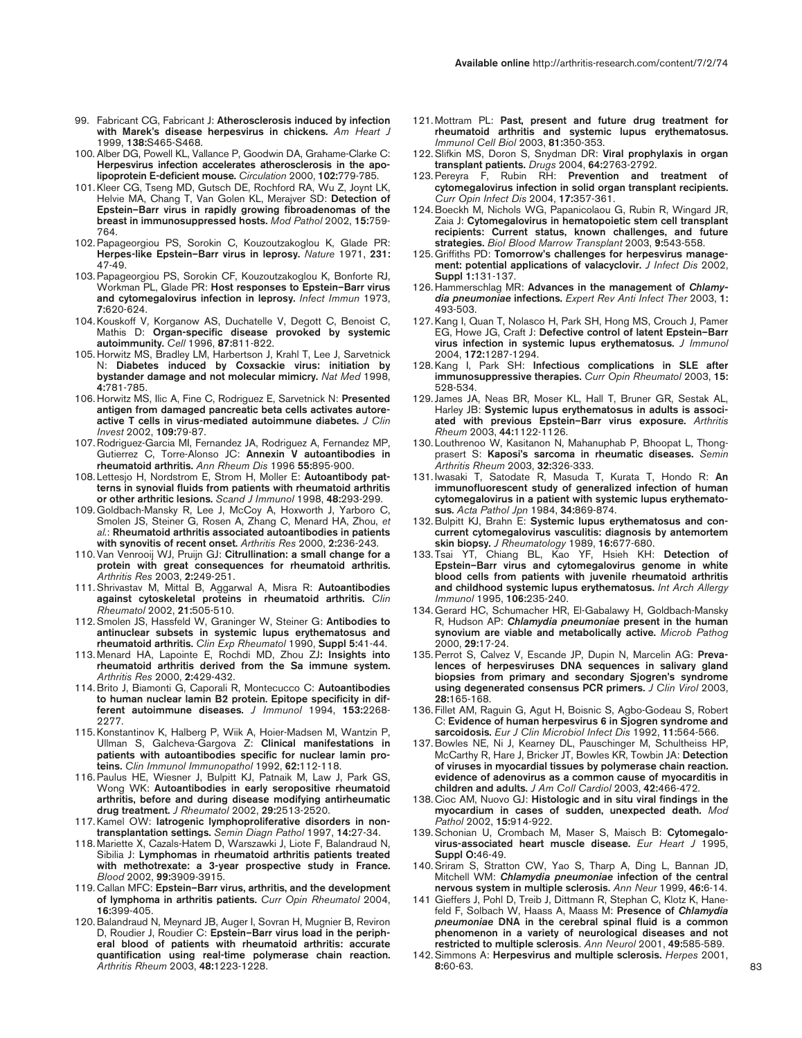- 99. Fabricant CG, Fabricant J: **Atherosclerosis induced by infection with Marek's disease herpesvirus in chickens.** *Am Heart J* 1999, **138:**S465-S468.
- 100. Alber DG, Powell KL, Vallance P, Goodwin DA, Grahame-Clarke C: **Herpesvirus infection accelerates atherosclerosis in the apolipoprotein E-deficient mouse.** *Circulation* 2000, **102:**779-785.
- 101. Kleer CG, Tseng MD, Gutsch DE, Rochford RA, Wu Z, Joynt LK, Helvie MA, Chang T, Van Golen KL, Merajver SD: **Detection of Epstein–Barr virus in rapidly growing fibroadenomas of the breast in immunosuppressed hosts.** *Mod Pathol* 2002, **15:**759- 764.
- 102. Papageorgiou PS, Sorokin C, Kouzoutzakoglou K, Glade PR: **Herpes-like Epstein–Barr virus in leprosy.** *Nature* 1971, **231:** 47-49.
- 103. Papageorgiou PS, Sorokin CF, Kouzoutzakoglou K, Bonforte RJ, Workman PL, Glade PR: **Host responses to Epstein–Barr virus and cytomegalovirus infection in leprosy.** *Infect Immun* 1973, **7:**620-624.
- 104. Kouskoff V, Korganow AS, Duchatelle V, Degott C, Benoist C, Mathis D: **Organ-specific disease provoked by systemic autoimmunity.** *Cell* 1996, **87:**811-822.
- 105. Horwitz MS, Bradley LM, Harbertson J, Krahl T, Lee J, Sarvetnick N: **Diabetes induced by Coxsackie virus: initiation by bystander damage and not molecular mimicry.** *Nat Med* 1998, **4:**781-785.
- 106. Horwitz MS, Ilic A, Fine C, Rodriguez E, Sarvetnick N: **Presented antigen from damaged pancreatic beta cells activates autoreactive T cells in virus-mediated autoimmune diabetes.** *J Clin Invest* 2002, **109:**79-87.
- 107. Rodriguez-Garcia MI, Fernandez JA, Rodriguez A, Fernandez MP, Gutierrez C, Torre-Alonso JC: **Annexin V autoantibodies in rheumatoid arthritis.** *Ann Rheum Dis* 1996 **55:**895-900.
- 108. Lettesjo H, Nordstrom E, Strom H, Moller E: **Autoantibody patterns in synovial fluids from patients with rheumatoid arthritis or other arthritic lesions.** *Scand J Immunol* 1998, **48:**293-299.
- 109. Goldbach-Mansky R, Lee J, McCoy A, Hoxworth J, Yarboro C, Smolen JS, Steiner G, Rosen A, Zhang C, Menard HA, Zhou, *et al.*: **Rheumatoid arthritis associated autoantibodies in patients with synovitis of recent onset.** *Arthritis Res* 2000, **2:**236-243.
- 110. Van Venrooij WJ, Pruijn GJ: **Citrullination: a small change for a protein with great consequences for rheumatoid arthritis.** *Arthritis Res* 2003, **2:**249-251.
- 111. Shrivastav M, Mittal B, Aggarwal A, Misra R: **Autoantibodies against cytoskeletal proteins in rheumatoid arthritis.** *Clin Rheumatol* 2002, **21:**505-510.
- 112. Smolen JS, Hassfeld W, Graninger W, Steiner G: **Antibodies to antinuclear subsets in systemic lupus erythematosus and rheumatoid arthritis.** *Clin Exp Rheumatol* 1990, **Suppl 5:**41-44.
- 113. Menard HA, Lapointe E, Rochdi MD, Zhou ZJ**: Insights into rheumatoid arthritis derived from the Sa immune system.** *Arthritis Res* 2000, **2:**429-432.
- 114. Brito J, Biamonti G, Caporali R, Montecucco C: **Autoantibodies to human nuclear lamin B2 protein. Epitope specificity in different autoimmune diseases.** *J Immunol* 1994, **153:**2268- 2277.
- 115. Konstantinov K, Halberg P, Wiik A, Hoier-Madsen M, Wantzin P, Ullman S, Galcheva-Gargova Z: **Clinical manifestations in patients with autoantibodies specific for nuclear lamin proteins.** *Clin Immunol Immunopathol* 1992, **62:**112-118.
- 116. Paulus HE, Wiesner J, Bulpitt KJ, Patnaik M, Law J, Park GS, Wong WK: **Autoantibodies in early seropositive rheumatoid arthritis, before and during disease modifying antirheumatic drug treatment.** *J Rheumatol* 2002, **29:**2513-2520.
- 117. Kamel OW: **Iatrogenic lymphoproliferative disorders in nontransplantation settings.** *Semin Diagn Pathol* 1997, **14:**27-34.
- 118. Mariette X, Cazals-Hatem D, Warszawki J, Liote F, Balandraud N, Sibilia J: **Lymphomas in rheumatoid arthritis patients treated with methotrexate: a 3-year prospective study in France.** *Blood* 2002, **99:**3909-3915.
- 119. Callan MFC: **Epstein–Barr virus, arthritis, and the development of lymphoma in arthritis patients.** *Curr Opin Rheumatol* 2004, **16:**399-405.
- 120. Balandraud N, Meynard JB, Auger I, Sovran H, Mugnier B, Reviron D, Roudier J, Roudier C: **Epstein–Barr virus load in the peripheral blood of patients with rheumatoid arthritis: accurate quantification using real-time polymerase chain reaction.** *Arthritis Rheum* 2003, **48:**1223-1228.
- 121. Mottram PL: **Past, present and future drug treatment for rheumatoid arthritis and systemic lupus erythematosus.** *Immunol Cell Biol* 2003, **81:**350-353.
- 122. Slifkin MS, Doron S, Snydman DR: **Viral prophylaxis in organ transplant patients.** *Drugs* 2004, **64:**2763-2792.
- 123. Pereyra F, Rubin RH: **Prevention and treatment of cytomegalovirus infection in solid organ transplant recipients.** *Curr Opin Infect Dis* 2004, **17:**357-361.
- 124. Boeckh M, Nichols WG, Papanicolaou G, Rubin R, Wingard JR, Zaia J: **Cytomegalovirus in hematopoietic stem cell transplant recipients: Current status, known challenges, and future strategies.** *Biol Blood Marrow Transplant* 2003, **9:**543-558.
- 125. Griffiths PD: **Tomorrow's challenges for herpesvirus management: potential applications of valacyclovir.** *J Infect Dis* 2002, **Suppl 1:**131-137.
- 126. Hammerschlag MR: **Advances in the management of** *Chlamydia pneumoniae* **infections.** *Expert Rev Anti Infect Ther* 2003, **1:** 493-503.
- 127. Kang I, Quan T, Nolasco H, Park SH, Hong MS, Crouch J, Pamer EG, Howe JG, Craft J: **Defective control of latent Epstein–Barr virus infection in systemic lupus erythematosus.** *J Immunol* 2004, **172:**1287-1294.
- 128. Kang I, Park SH: **Infectious complications in SLE after immunosuppressive therapies.** *Curr Opin Rheumatol* 2003, **15:** 528-534.
- 129. James JA, Neas BR, Moser KL, Hall T, Bruner GR, Sestak AL, Harley JB: **Systemic lupus erythematosus in adults is associated with previous Epstein–Barr virus exposure.** *Arthritis Rheum* 2003, **44:**1122-1126.
- 130. Louthrenoo W, Kasitanon N, Mahanuphab P, Bhoopat L, Thongprasert S: **Kaposi's sarcoma in rheumatic diseases.** *Semin Arthritis Rheum* 2003, **32:**326-333.
- 131. Iwasaki T, Satodate R, Masuda T, Kurata T, Hondo R: **An immunofluorescent study of generalized infection of human cytomegalovirus in a patient with systemic lupus erythematosus.** *Acta Pathol Jpn* 1984, **34:**869-874.
- 132. Bulpitt KJ, Brahn E: **Systemic lupus erythematosus and concurrent cytomegalovirus vasculitis: diagnosis by antemortem skin biopsy.** *J Rheumatology* 1989, **16:**677-680.
- 133. Tsai YT, Chiang BL, Kao YF, Hsieh KH: **Detection of Epstein–Barr virus and cytomegalovirus genome in white blood cells from patients with juvenile rheumatoid arthritis and childhood systemic lupus erythematosus.** *Int Arch Allergy Immunol* 1995, **106:**235-240.
- 134. Gerard HC, Schumacher HR, El-Gabalawy H, Goldbach-Mansky R, Hudson AP: *Chlamydia pneumoniae* **present in the human synovium are viable and metabolically active.** *Microb Pathog* 2000, **29:**17-24.
- 135. Perrot S, Calvez V, Escande JP, Dupin N, Marcelin AG: **Prevalences of herpesviruses DNA sequences in salivary gland biopsies from primary and secondary Sjogren's syndrome using degenerated consensus PCR primers.** *J Clin Virol* 2003, **28:**165-168.
- 136. Fillet AM, Raguin G, Agut H, Boisnic S, Agbo-Godeau S, Robert C: **Evidence of human herpesvirus 6 in Sjogren syndrome and sarcoidosis.** *Eur J Clin Microbiol Infect Dis* 1992, **11:**564-566.
- 137. Bowles NE, Ni J, Kearney DL, Pauschinger M, Schultheiss HP, McCarthy R, Hare J, Bricker JT, Bowles KR, Towbin JA: **Detection of viruses in myocardial tissues by polymerase chain reaction. evidence of adenovirus as a common cause of myocarditis in children and adults.** *J Am Coll Cardiol* 2003, **42:**466-472.
- 138. Cioc AM, Nuovo GJ: **Histologic and in situ viral findings in the myocardium in cases of sudden, unexpected death.** *Mod Pathol* 2002, **15:**914-922.
- 139. Schonian U, Crombach M, Maser S, Maisch B: **Cytomegalovirus-associated heart muscle disease.** *Eur Heart J* 1995, **Suppl O:**46-49.
- 140. Sriram S, Stratton CW, Yao S, Tharp A, Ding L, Bannan JD, Mitchell WM: *Chlamydia pneumoniae* **infection of the central nervous system in multiple sclerosis.** *Ann Neur* 1999, **46:**6-14.
- 141 Gieffers J, Pohl D, Treib J, Dittmann R, Stephan C, Klotz K, Hanefeld F, Solbach W, Haass A, Maass M: **Presence of** *Chlamydia pneumoniae* **DNA in the cerebral spinal fluid is a common phenomenon in a variety of neurological diseases and not restricted to multiple sclerosis**. *Ann Neurol* 2001, **49:**585-589.
- 142. Simmons A: **Herpesvirus and multiple sclerosis.** *Herpes* 2001, **8:**60-63.